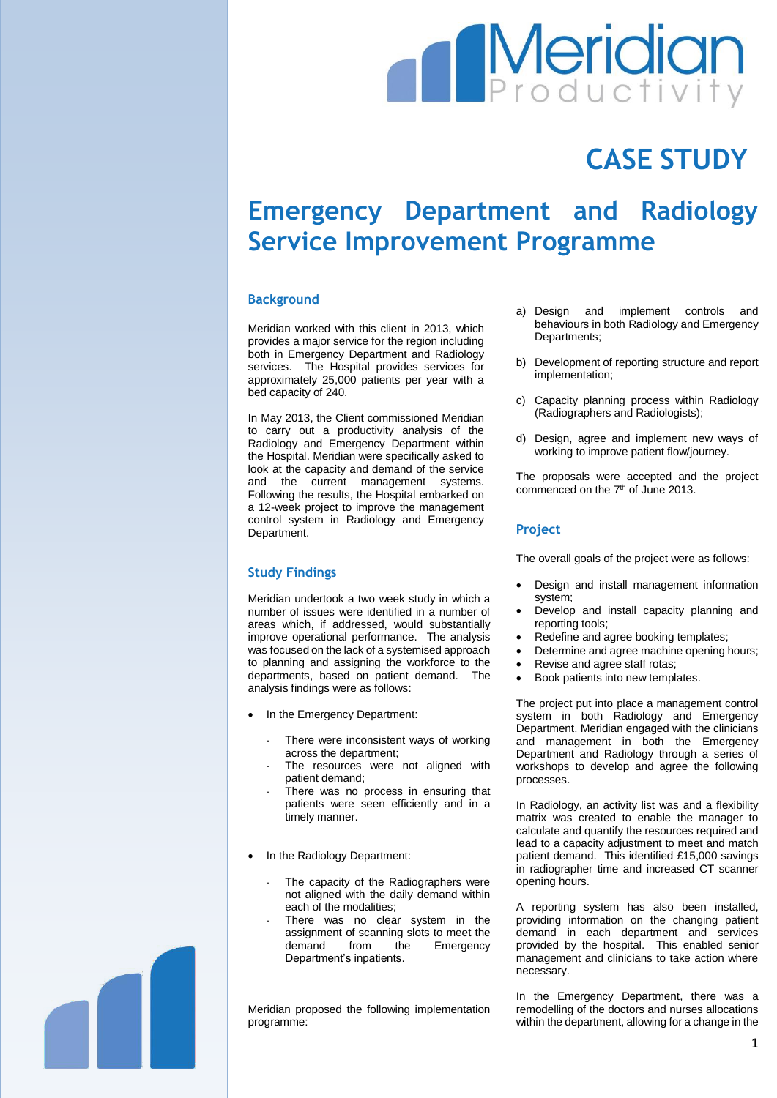# **Meridian**

## **CASE STUDY**

### **Emergency Department and Radiology Service Improvement Programme**

#### **Background**

Meridian worked with this client in 2013, which provides a major service for the region including both in Emergency Department and Radiology services. The Hospital provides services for approximately 25,000 patients per year with a bed capacity of 240.

In May 2013, the Client commissioned Meridian to carry out a productivity analysis of the Radiology and Emergency Department within the Hospital. Meridian were specifically asked to look at the capacity and demand of the service and the current management systems. Following the results, the Hospital embarked on a 12-week project to improve the management control system in Radiology and Emergency Department.

#### **Study Findings**

Meridian undertook a two week study in which a number of issues were identified in a number of areas which, if addressed, would substantially improve operational performance. The analysis was focused on the lack of a systemised approach to planning and assigning the workforce to the departments, based on patient demand. The analysis findings were as follows:

- In the Emergency Department:
	- There were inconsistent ways of working across the department;
	- The resources were not aligned with patient demand;
	- There was no process in ensuring that patients were seen efficiently and in a timely manner.
- In the Radiology Department:
	- The capacity of the Radiographers were not aligned with the daily demand within each of the modalities;
	- There was no clear system in the assignment of scanning slots to meet the demand from the Emergency Department's inpatients.

Meridian proposed the following implementation programme:

- a) Design and implement controls and behaviours in both Radiology and Emergency Departments;
- b) Development of reporting structure and report implementation;
- c) Capacity planning process within Radiology (Radiographers and Radiologists);
- d) Design, agree and implement new ways of working to improve patient flow/journey.

The proposals were accepted and the project commenced on the 7<sup>th</sup> of June 2013.

#### **Project**

The overall goals of the project were as follows:

- Design and install management information system;
- Develop and install capacity planning and reporting tools;
- Redefine and agree booking templates;
- Determine and agree machine opening hours;
- Revise and agree staff rotas;
- Book patients into new templates.

The project put into place a management control system in both Radiology and Emergency Department. Meridian engaged with the clinicians and management in both the Emergency Department and Radiology through a series of workshops to develop and agree the following processes.

In Radiology, an activity list was and a flexibility matrix was created to enable the manager to calculate and quantify the resources required and lead to a capacity adjustment to meet and match patient demand. This identified £15,000 savings in radiographer time and increased CT scanner opening hours.

A reporting system has also been installed, providing information on the changing patient demand in each department and services provided by the hospital. This enabled senior management and clinicians to take action where necessary.

In the Emergency Department, there was a remodelling of the doctors and nurses allocations within the department, allowing for a change in the